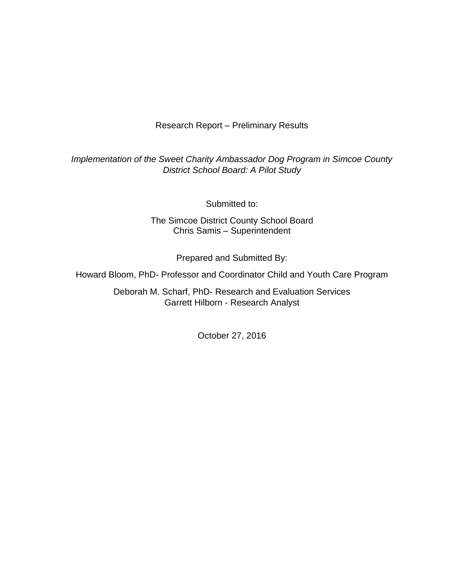Research Report – Preliminary Results

*Implementation of the Sweet Charity Ambassador Dog Program in Simcoe County District School Board: A Pilot Study*

Submitted to:

The Simcoe District County School Board Chris Samis – Superintendent

Prepared and Submitted By:

Howard Bloom, PhD- Professor and Coordinator Child and Youth Care Program

Deborah M. Scharf, PhD- Research and Evaluation Services Garrett Hilborn - Research Analyst

October 27, 2016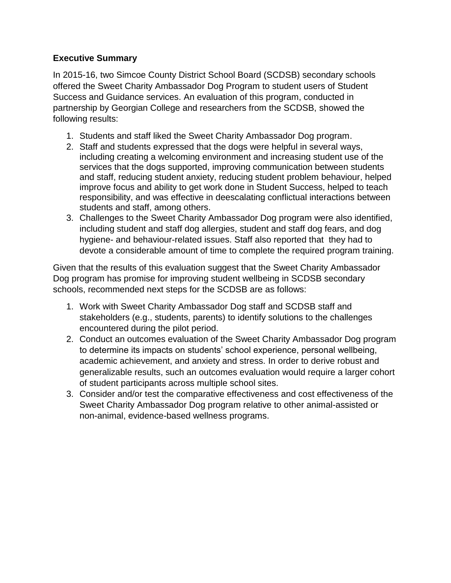### **Executive Summary**

In 2015-16, two Simcoe County District School Board (SCDSB) secondary schools offered the Sweet Charity Ambassador Dog Program to student users of Student Success and Guidance services. An evaluation of this program, conducted in partnership by Georgian College and researchers from the SCDSB, showed the following results:

- 1. Students and staff liked the Sweet Charity Ambassador Dog program.
- 2. Staff and students expressed that the dogs were helpful in several ways, including creating a welcoming environment and increasing student use of the services that the dogs supported, improving communication between students and staff, reducing student anxiety, reducing student problem behaviour, helped improve focus and ability to get work done in Student Success, helped to teach responsibility, and was effective in deescalating conflictual interactions between students and staff, among others.
- 3. Challenges to the Sweet Charity Ambassador Dog program were also identified, including student and staff dog allergies, student and staff dog fears, and dog hygiene- and behaviour-related issues. Staff also reported that they had to devote a considerable amount of time to complete the required program training.

Given that the results of this evaluation suggest that the Sweet Charity Ambassador Dog program has promise for improving student wellbeing in SCDSB secondary schools, recommended next steps for the SCDSB are as follows:

- 1. Work with Sweet Charity Ambassador Dog staff and SCDSB staff and stakeholders (e.g., students, parents) to identify solutions to the challenges encountered during the pilot period.
- 2. Conduct an outcomes evaluation of the Sweet Charity Ambassador Dog program to determine its impacts on students' school experience, personal wellbeing, academic achievement, and anxiety and stress. In order to derive robust and generalizable results, such an outcomes evaluation would require a larger cohort of student participants across multiple school sites.
- 3. Consider and/or test the comparative effectiveness and cost effectiveness of the Sweet Charity Ambassador Dog program relative to other animal-assisted or non-animal, evidence-based wellness programs.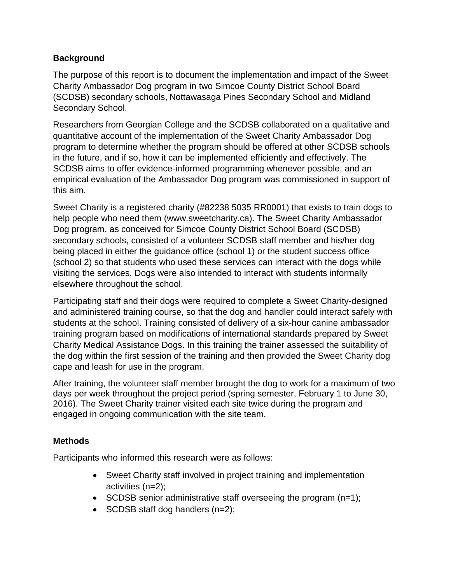### **Background**

The purpose of this report is to document the implementation and impact of the Sweet Charity Ambassador Dog program in two Simcoe County District School Board (SCDSB) secondary schools, Nottawasaga Pines Secondary School and Midland Secondary School.

Researchers from Georgian College and the SCDSB collaborated on a qualitative and quantitative account of the implementation of the Sweet Charity Ambassador Dog program to determine whether the program should be offered at other SCDSB schools in the future, and if so, how it can be implemented efficiently and effectively. The SCDSB aims to offer evidence-informed programming whenever possible, and an empirical evaluation of the Ambassador Dog program was commissioned in support of this aim.

Sweet Charity is a registered charity (#82238 5035 RR0001) that exists to train dogs to help people who need them (www.sweetcharity.ca). The Sweet Charity Ambassador Dog program, as conceived for Simcoe County District School Board (SCDSB) secondary schools, consisted of a volunteer SCDSB staff member and his/her dog being placed in either the guidance office (school 1) or the student success office (school 2) so that students who used these services can interact with the dogs while visiting the services. Dogs were also intended to interact with students informally elsewhere throughout the school.

Participating staff and their dogs were required to complete a Sweet Charity-designed and administered training course, so that the dog and handler could interact safely with students at the school. Training consisted of delivery of a six-hour canine ambassador training program based on modifications of international standards prepared by Sweet Charity Medical Assistance Dogs. In this training the trainer assessed the suitability of the dog within the first session of the training and then provided the Sweet Charity dog cape and leash for use in the program.

After training, the volunteer staff member brought the dog to work for a maximum of two days per week throughout the project period (spring semester, February 1 to June 30, 2016). The Sweet Charity trainer visited each site twice during the program and engaged in ongoing communication with the site team.

### **Methods**

Participants who informed this research were as follows:

- Sweet Charity staff involved in project training and implementation activities (n=2);
- $\bullet$  SCDSB senior administrative staff overseeing the program (n=1);
- SCDSB staff dog handlers  $(n=2)$ ;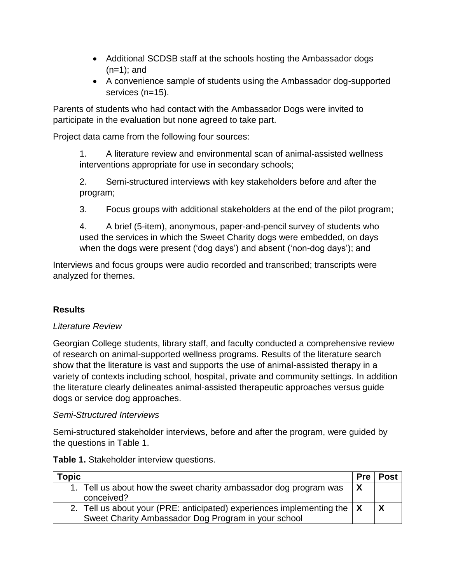- Additional SCDSB staff at the schools hosting the Ambassador dogs  $(n=1)$ ; and
- A convenience sample of students using the Ambassador dog-supported services (n=15).

Parents of students who had contact with the Ambassador Dogs were invited to participate in the evaluation but none agreed to take part.

Project data came from the following four sources:

1. A literature review and environmental scan of animal-assisted wellness interventions appropriate for use in secondary schools;

2. Semi-structured interviews with key stakeholders before and after the program;

3. Focus groups with additional stakeholders at the end of the pilot program;

4. A brief (5-item), anonymous, paper-and-pencil survey of students who used the services in which the Sweet Charity dogs were embedded, on days when the dogs were present ('dog days') and absent ('non-dog days'); and

Interviews and focus groups were audio recorded and transcribed; transcripts were analyzed for themes.

# **Results**

### *Literature Review*

Georgian College students, library staff, and faculty conducted a comprehensive review of research on animal-supported wellness programs. Results of the literature search show that the literature is vast and supports the use of animal-assisted therapy in a variety of contexts including school, hospital, private and community settings. In addition the literature clearly delineates animal-assisted therapeutic approaches versus guide dogs or service dog approaches.

### *Semi-Structured Interviews*

Semi-structured stakeholder interviews, before and after the program, were guided by the questions in Table 1.

| <b>Topic</b>                                                                          | <b>Pre</b> | <b>Post</b> |
|---------------------------------------------------------------------------------------|------------|-------------|
| 1. Tell us about how the sweet charity ambassador dog program was                     | X          |             |
| conceived?                                                                            |            |             |
| 2. Tell us about your (PRE: anticipated) experiences implementing the $\vert X \vert$ |            | l X         |
| Sweet Charity Ambassador Dog Program in your school                                   |            |             |

**Table 1.** Stakeholder interview questions.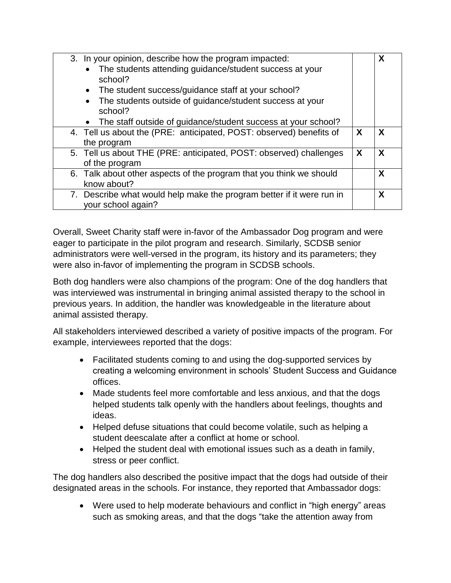| 3. In your opinion, describe how the program impacted:<br>The students attending guidance/student success at your<br>school?<br>The student success/guidance staff at your school?<br>$\bullet$<br>The students outside of guidance/student success at your<br>school?<br>The staff outside of guidance/student success at your school? |   | X                         |
|-----------------------------------------------------------------------------------------------------------------------------------------------------------------------------------------------------------------------------------------------------------------------------------------------------------------------------------------|---|---------------------------|
| 4. Tell us about the (PRE: anticipated, POST: observed) benefits of<br>the program                                                                                                                                                                                                                                                      | X | $\boldsymbol{\mathsf{X}}$ |
| 5. Tell us about THE (PRE: anticipated, POST: observed) challenges<br>of the program                                                                                                                                                                                                                                                    | X | $\boldsymbol{\mathsf{X}}$ |
| 6. Talk about other aspects of the program that you think we should<br>know about?                                                                                                                                                                                                                                                      |   | X                         |
| 7. Describe what would help make the program better if it were run in<br>your school again?                                                                                                                                                                                                                                             |   | X                         |

Overall, Sweet Charity staff were in-favor of the Ambassador Dog program and were eager to participate in the pilot program and research. Similarly, SCDSB senior administrators were well-versed in the program, its history and its parameters; they were also in-favor of implementing the program in SCDSB schools.

Both dog handlers were also champions of the program: One of the dog handlers that was interviewed was instrumental in bringing animal assisted therapy to the school in previous years. In addition, the handler was knowledgeable in the literature about animal assisted therapy.

All stakeholders interviewed described a variety of positive impacts of the program. For example, interviewees reported that the dogs:

- Facilitated students coming to and using the dog-supported services by creating a welcoming environment in schools' Student Success and Guidance offices.
- Made students feel more comfortable and less anxious, and that the dogs helped students talk openly with the handlers about feelings, thoughts and ideas.
- Helped defuse situations that could become volatile, such as helping a student deescalate after a conflict at home or school.
- Helped the student deal with emotional issues such as a death in family, stress or peer conflict.

The dog handlers also described the positive impact that the dogs had outside of their designated areas in the schools. For instance, they reported that Ambassador dogs:

• Were used to help moderate behaviours and conflict in "high energy" areas such as smoking areas, and that the dogs "take the attention away from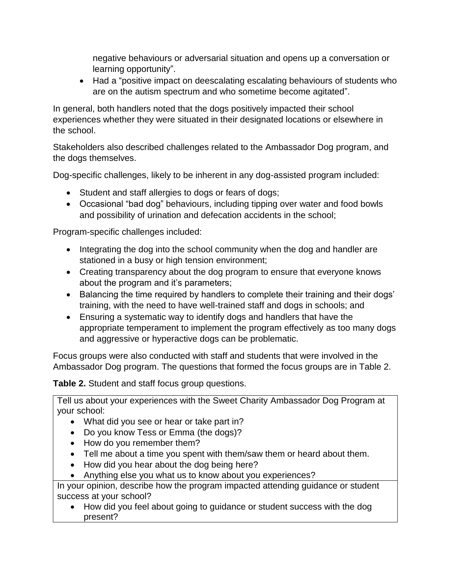negative behaviours or adversarial situation and opens up a conversation or learning opportunity".

• Had a "positive impact on deescalating escalating behaviours of students who are on the autism spectrum and who sometime become agitated".

In general, both handlers noted that the dogs positively impacted their school experiences whether they were situated in their designated locations or elsewhere in the school.

Stakeholders also described challenges related to the Ambassador Dog program, and the dogs themselves.

Dog-specific challenges, likely to be inherent in any dog-assisted program included:

- Student and staff allergies to dogs or fears of dogs;
- Occasional "bad dog" behaviours, including tipping over water and food bowls and possibility of urination and defecation accidents in the school;

Program-specific challenges included:

- Integrating the dog into the school community when the dog and handler are stationed in a busy or high tension environment;
- Creating transparency about the dog program to ensure that everyone knows about the program and it's parameters;
- Balancing the time required by handlers to complete their training and their dogs' training, with the need to have well-trained staff and dogs in schools; and
- Ensuring a systematic way to identify dogs and handlers that have the appropriate temperament to implement the program effectively as too many dogs and aggressive or hyperactive dogs can be problematic.

Focus groups were also conducted with staff and students that were involved in the Ambassador Dog program. The questions that formed the focus groups are in Table 2.

**Table 2.** Student and staff focus group questions.

Tell us about your experiences with the Sweet Charity Ambassador Dog Program at your school:

- What did you see or hear or take part in?
- Do you know Tess or Emma (the dogs)?
- How do you remember them?
- Tell me about a time you spent with them/saw them or heard about them.
- How did you hear about the dog being here?
- Anything else you what us to know about you experiences?

In your opinion, describe how the program impacted attending guidance or student success at your school?

• How did you feel about going to guidance or student success with the dog present?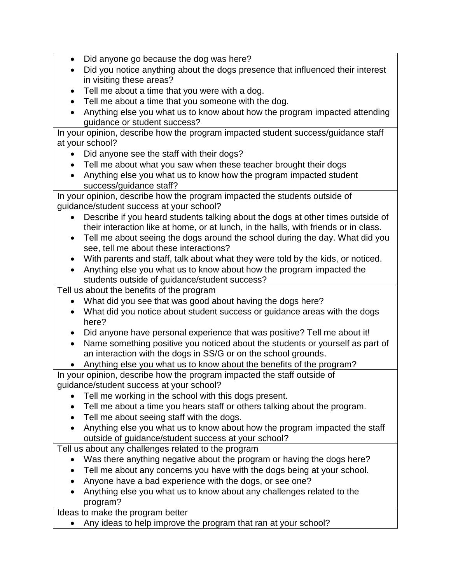- Did anyone go because the dog was here?
- Did you notice anything about the dogs presence that influenced their interest in visiting these areas?
- Tell me about a time that you were with a dog.
- Tell me about a time that you someone with the dog.
- Anything else you what us to know about how the program impacted attending guidance or student success?

In your opinion, describe how the program impacted student success/guidance staff at your school?

- Did anyone see the staff with their dogs?
- Tell me about what you saw when these teacher brought their dogs
- Anything else you what us to know how the program impacted student success/guidance staff?

In your opinion, describe how the program impacted the students outside of guidance/student success at your school?

- Describe if you heard students talking about the dogs at other times outside of their interaction like at home, or at lunch, in the halls, with friends or in class.
- Tell me about seeing the dogs around the school during the day. What did you see, tell me about these interactions?
- With parents and staff, talk about what they were told by the kids, or noticed.
- Anything else you what us to know about how the program impacted the students outside of guidance/student success?

Tell us about the benefits of the program

- What did you see that was good about having the dogs here?
- What did you notice about student success or guidance areas with the dogs here?
- Did anyone have personal experience that was positive? Tell me about it!
- Name something positive you noticed about the students or yourself as part of an interaction with the dogs in SS/G or on the school grounds.
- Anything else you what us to know about the benefits of the program?

In your opinion, describe how the program impacted the staff outside of guidance/student success at your school?

- Tell me working in the school with this dogs present.
- Tell me about a time you hears staff or others talking about the program.
- Tell me about seeing staff with the dogs.
- Anything else you what us to know about how the program impacted the staff outside of guidance/student success at your school?

Tell us about any challenges related to the program

- Was there anything negative about the program or having the dogs here?
- Tell me about any concerns you have with the dogs being at your school.
- Anyone have a bad experience with the dogs, or see one?
- Anything else you what us to know about any challenges related to the program?

Ideas to make the program better

• Any ideas to help improve the program that ran at your school?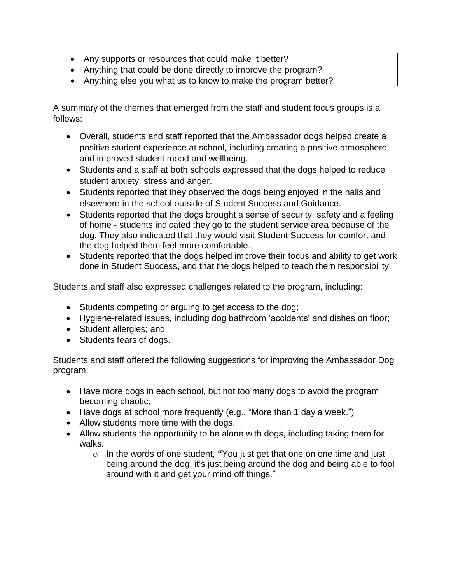- Any supports or resources that could make it better?
- Anything that could be done directly to improve the program?
- Anything else you what us to know to make the program better?

A summary of the themes that emerged from the staff and student focus groups is a follows:

- Overall, students and staff reported that the Ambassador dogs helped create a positive student experience at school, including creating a positive atmosphere, and improved student mood and wellbeing.
- Students and a staff at both schools expressed that the dogs helped to reduce student anxiety, stress and anger.
- Students reported that they observed the dogs being enjoyed in the halls and elsewhere in the school outside of Student Success and Guidance.
- Students reported that the dogs brought a sense of security, safety and a feeling of home - students indicated they go to the student service area because of the dog. They also indicated that they would visit Student Success for comfort and the dog helped them feel more comfortable.
- Students reported that the dogs helped improve their focus and ability to get work done in Student Success, and that the dogs helped to teach them responsibility.

Students and staff also expressed challenges related to the program, including:

- Students competing or arguing to get access to the dog;
- Hygiene-related issues, including dog bathroom 'accidents' and dishes on floor;
- Student allergies; and
- Students fears of dogs.

Students and staff offered the following suggestions for improving the Ambassador Dog program:

- Have more dogs in each school, but not too many dogs to avoid the program becoming chaotic;
- Have dogs at school more frequently (e.g., "More than 1 day a week.")
- Allow students more time with the dogs.
- Allow students the opportunity to be alone with dogs, including taking them for walks.
	- o In the words of one student, **"**You just get that one on one time and just being around the dog, it's just being around the dog and being able to fool around with it and get your mind off things."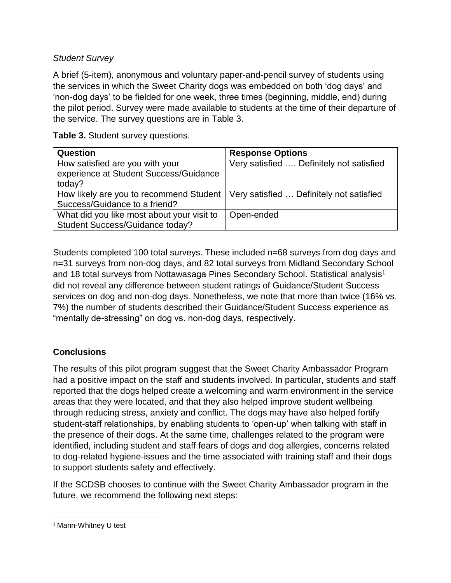### *Student Survey*

A brief (5-item), anonymous and voluntary paper-and-pencil survey of students using the services in which the Sweet Charity dogs was embedded on both 'dog days' and 'non-dog days' to be fielded for one week, three times (beginning, middle, end) during the pilot period. Survey were made available to students at the time of their departure of the service. The survey questions are in Table 3.

**Table 3.** Student survey questions.

| <b>Question</b>                                                                                                     | <b>Response Options</b>                  |
|---------------------------------------------------------------------------------------------------------------------|------------------------------------------|
| How satisfied are you with your<br>experience at Student Success/Guidance<br>today?                                 | Very satisfied  Definitely not satisfied |
| How likely are you to recommend Student   Very satisfied  Definitely not satisfied<br>Success/Guidance to a friend? |                                          |
| What did you like most about your visit to<br>Student Success/Guidance today?                                       | Open-ended                               |

Students completed 100 total surveys. These included n=68 surveys from dog days and n=31 surveys from non-dog days, and 82 total surveys from Midland Secondary School and 18 total surveys from Nottawasaga Pines Secondary School. Statistical analysis<sup>1</sup> did not reveal any difference between student ratings of Guidance/Student Success services on dog and non-dog days. Nonetheless, we note that more than twice (16% vs. 7%) the number of students described their Guidance/Student Success experience as "mentally de-stressing" on dog vs. non-dog days, respectively.

# **Conclusions**

The results of this pilot program suggest that the Sweet Charity Ambassador Program had a positive impact on the staff and students involved. In particular, students and staff reported that the dogs helped create a welcoming and warm environment in the service areas that they were located, and that they also helped improve student wellbeing through reducing stress, anxiety and conflict. The dogs may have also helped fortify student-staff relationships, by enabling students to 'open-up' when talking with staff in the presence of their dogs. At the same time, challenges related to the program were identified, including student and staff fears of dogs and dog allergies, concerns related to dog-related hygiene-issues and the time associated with training staff and their dogs to support students safety and effectively.

If the SCDSB chooses to continue with the Sweet Charity Ambassador program in the future, we recommend the following next steps:

 $\overline{\phantom{a}}$ <sup>1</sup> Mann-Whitney U test